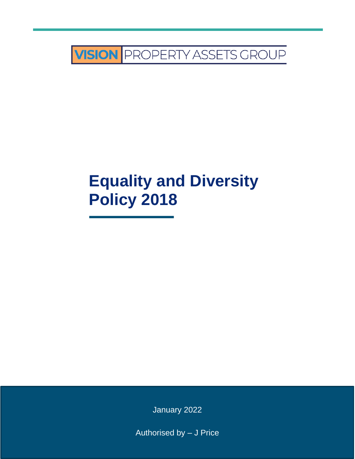

# **Equality and Diversity Policy 2018**

January 2022

Authorised by – J Price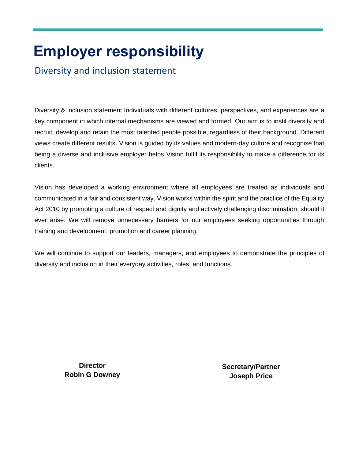# **Employer responsibility**

Diversity and inclusion statement

Diversity & inclusion statement Individuals with different cultures, perspectives, and experiences are a key component in which internal mechanisms are viewed and formed. Our aim is to instil diversity and recruit, develop and retain the most talented people possible, regardless of their background. Different views create different results. Vision is guided by its values and modern-day culture and recognise that being a diverse and inclusive employer helps Vision fulfil its responsibility to make a difference for its clients.

Vision has developed a working environment where all employees are treated as individuals and communicated in a fair and consistent way. Vision works within the spirit and the practice of the Equality Act 2010 by promoting a culture of respect and dignity and actively challenging discrimination, should it ever arise. We will remove unnecessary barriers for our employees seeking opportunities through training and development, promotion and career planning.

We will continue to support our leaders, managers, and employees to demonstrate the principles of diversity and inclusion in their everyday activities, roles, and functions.

> **Director Robin G Downey**

**Secretary/Partner Joseph Price**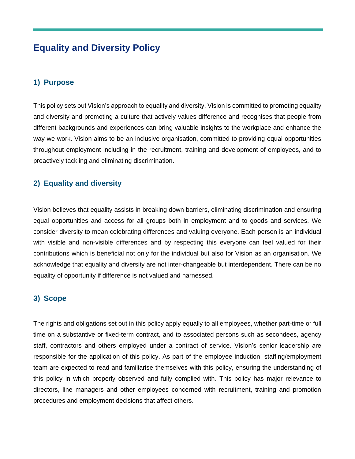## **Equality and Diversity Policy**

## **1) Purpose**

This policy sets out Vision's approach to equality and diversity. Vision is committed to promoting equality and diversity and promoting a culture that actively values difference and recognises that people from different backgrounds and experiences can bring valuable insights to the workplace and enhance the way we work. Vision aims to be an inclusive organisation, committed to providing equal opportunities throughout employment including in the recruitment, training and development of employees, and to proactively tackling and eliminating discrimination.

## **2) Equality and diversity**

Vision believes that equality assists in breaking down barriers, eliminating discrimination and ensuring equal opportunities and access for all groups both in employment and to goods and services. We consider diversity to mean celebrating differences and valuing everyone. Each person is an individual with visible and non-visible differences and by respecting this everyone can feel valued for their contributions which is beneficial not only for the individual but also for Vision as an organisation. We acknowledge that equality and diversity are not inter-changeable but interdependent. There can be no equality of opportunity if difference is not valued and harnessed.

## **3) Scope**

The rights and obligations set out in this policy apply equally to all employees, whether part-time or full time on a substantive or fixed-term contract, and to associated persons such as secondees, agency staff, contractors and others employed under a contract of service. Vision's senior leadership are responsible for the application of this policy. As part of the employee induction, staffing/employment team are expected to read and familiarise themselves with this policy, ensuring the understanding of this policy in which properly observed and fully complied with. This policy has major relevance to directors, line managers and other employees concerned with recruitment, training and promotion procedures and employment decisions that affect others.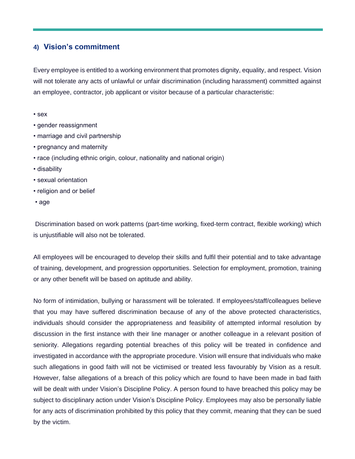### **4) Vision's commitment**

Every employee is entitled to a working environment that promotes dignity, equality, and respect. Vision will not tolerate any acts of unlawful or unfair discrimination (including harassment) committed against an employee, contractor, job applicant or visitor because of a particular characteristic:

- sex
- gender reassignment
- marriage and civil partnership
- pregnancy and maternity
- race (including ethnic origin, colour, nationality and national origin)
- disability
- sexual orientation
- religion and or belief
- age

Discrimination based on work patterns (part-time working, fixed-term contract, flexible working) which is unjustifiable will also not be tolerated.

All employees will be encouraged to develop their skills and fulfil their potential and to take advantage of training, development, and progression opportunities. Selection for employment, promotion, training or any other benefit will be based on aptitude and ability.

No form of intimidation, bullying or harassment will be tolerated. If employees/staff/colleagues believe that you may have suffered discrimination because of any of the above protected characteristics, individuals should consider the appropriateness and feasibility of attempted informal resolution by discussion in the first instance with their line manager or another colleague in a relevant position of seniority. Allegations regarding potential breaches of this policy will be treated in confidence and investigated in accordance with the appropriate procedure. Vision will ensure that individuals who make such allegations in good faith will not be victimised or treated less favourably by Vision as a result. However, false allegations of a breach of this policy which are found to have been made in bad faith will be dealt with under Vision's Discipline Policy. A person found to have breached this policy may be subject to disciplinary action under Vision's Discipline Policy. Employees may also be personally liable for any acts of discrimination prohibited by this policy that they commit, meaning that they can be sued by the victim.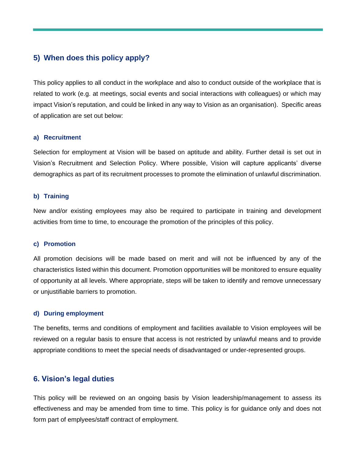### **5) When does this policy apply?**

This policy applies to all conduct in the workplace and also to conduct outside of the workplace that is related to work (e.g. at meetings, social events and social interactions with colleagues) or which may impact Vision's reputation, and could be linked in any way to Vision as an organisation). Specific areas of application are set out below:

#### **a) Recruitment**

Selection for employment at Vision will be based on aptitude and ability. Further detail is set out in Vision's Recruitment and Selection Policy. Where possible, Vision will capture applicants' diverse demographics as part of its recruitment processes to promote the elimination of unlawful discrimination.

#### **b) Training**

New and/or existing employees may also be required to participate in training and development activities from time to time, to encourage the promotion of the principles of this policy.

#### **c) Promotion**

All promotion decisions will be made based on merit and will not be influenced by any of the characteristics listed within this document. Promotion opportunities will be monitored to ensure equality of opportunity at all levels. Where appropriate, steps will be taken to identify and remove unnecessary or unjustifiable barriers to promotion.

#### **d) During employment**

The benefits, terms and conditions of employment and facilities available to Vision employees will be reviewed on a regular basis to ensure that access is not restricted by unlawful means and to provide appropriate conditions to meet the special needs of disadvantaged or under-represented groups.

#### **6. Vision's legal duties**

This policy will be reviewed on an ongoing basis by Vision leadership/management to assess its effectiveness and may be amended from time to time. This policy is for guidance only and does not form part of emplyees/staff contract of employment.